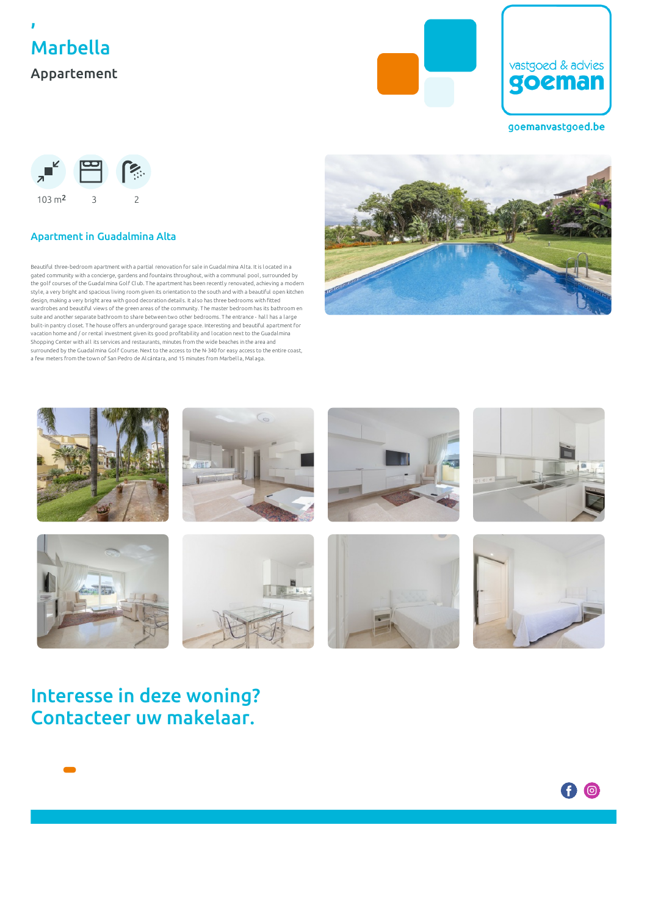





goemanvastgoed.be



### Apartment in Guadalmina Alta

Beautiful three-bedroom apartment with a partial renovation for sale in Guadalmina Alta. It is located in a gated community with a concierge, gardens and fountains throughout, with a communal pool , surrounded by the golf courses of the Guadalmina Golf Club. T he apartment has been recentl y renovated, achieving a modern style, a very bright and spacious l iving room given its orientation to the south and with a beautiful open kitchen design, making a very bright area with good decoration detail s. It al so has three bedrooms with fitted wardrobes and beautiful views of the green areas of the community. T he master bedroom has its bathroom en suite and another separate bathroom to share between two other bedrooms. The entrance - hall has a large built-in pantry closet. T he house offers an underground garage space. Interesting and beautiful apartment for vacation home and / or rental investment given its good profitabil ity and location next to the Guadalmina Shopping Center with all its services and restaurants, minutes from the wide beaches in the area and surrounded by the Guadalmina Golf Course. Next to the access to the N-340 for easy access to the entire coast, a few meters from the town of San Pedro de Al cántara, and 15 minutes from Marbel la, Mal aga.





# Interesse in deze woning? Contacteer uw makelaar.

6 ©